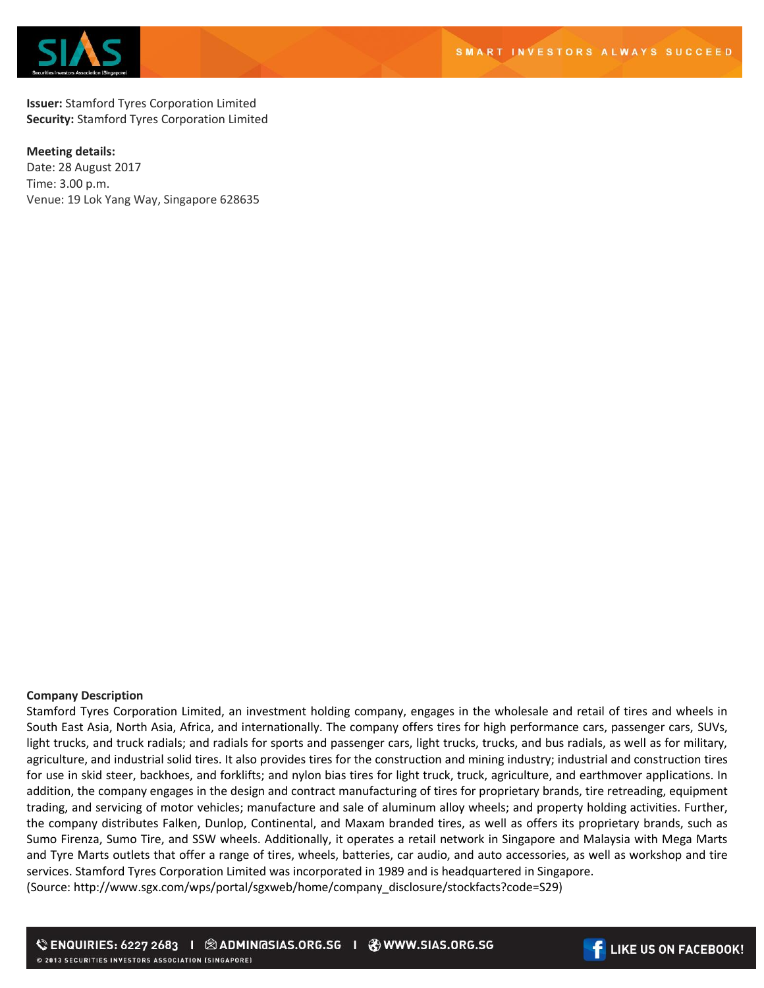



**Issuer:** Stamford Tyres Corporation Limited **Security:** Stamford Tyres Corporation Limited

## **Meeting details:**

Date: 28 August 2017 Time: 3.00 p.m. Venue: 19 Lok Yang Way, Singapore 628635

## **Company Description**

Stamford Tyres Corporation Limited, an investment holding company, engages in the wholesale and retail of tires and wheels in South East Asia, North Asia, Africa, and internationally. The company offers tires for high performance cars, passenger cars, SUVs, light trucks, and truck radials; and radials for sports and passenger cars, light trucks, trucks, and bus radials, as well as for military, agriculture, and industrial solid tires. It also provides tires for the construction and mining industry; industrial and construction tires for use in skid steer, backhoes, and forklifts; and nylon bias tires for light truck, truck, agriculture, and earthmover applications. In addition, the company engages in the design and contract manufacturing of tires for proprietary brands, tire retreading, equipment trading, and servicing of motor vehicles; manufacture and sale of aluminum alloy wheels; and property holding activities. Further, the company distributes Falken, Dunlop, Continental, and Maxam branded tires, as well as offers its proprietary brands, such as Sumo Firenza, Sumo Tire, and SSW wheels. Additionally, it operates a retail network in Singapore and Malaysia with Mega Marts and Tyre Marts outlets that offer a range of tires, wheels, batteries, car audio, and auto accessories, as well as workshop and tire services. Stamford Tyres Corporation Limited was incorporated in 1989 and is headquartered in Singapore. (Source: http://www.sgx.com/wps/portal/sgxweb/home/company\_disclosure/stockfacts?code=S29)

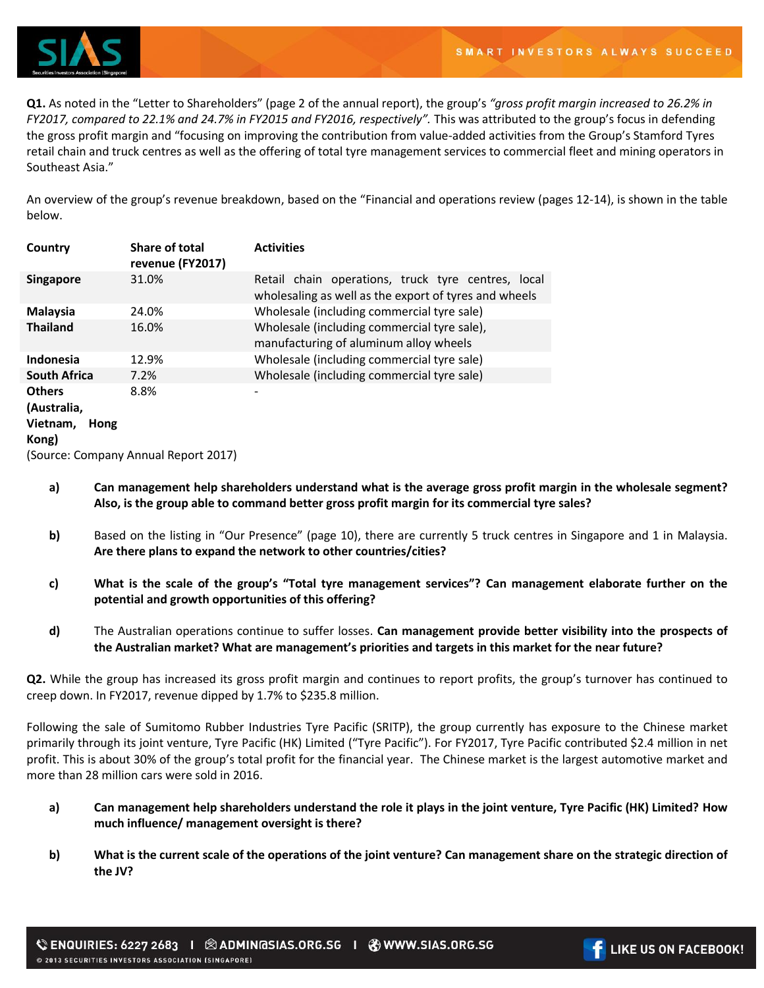

**Q1.** As noted in the "Letter to Shareholders" (page 2 of the annual report), the group's *"gross profit margin increased to 26.2% in FY2017, compared to 22.1% and 24.7% in FY2015 and FY2016, respectively".* This was attributed to the group's focus in defending the gross profit margin and "focusing on improving the contribution from value-added activities from the Group's Stamford Tyres retail chain and truck centres as well as the offering of total tyre management services to commercial fleet and mining operators in Southeast Asia."

An overview of the group's revenue breakdown, based on the "Financial and operations review (pages 12-14), is shown in the table below.

| Country                              | <b>Share of total</b><br>revenue (FY2017) | <b>Activities</b>                                                                                           |
|--------------------------------------|-------------------------------------------|-------------------------------------------------------------------------------------------------------------|
| <b>Singapore</b>                     | 31.0%                                     | Retail chain operations, truck tyre centres, local<br>wholesaling as well as the export of tyres and wheels |
| Malaysia                             | 24.0%                                     | Wholesale (including commercial tyre sale)                                                                  |
| <b>Thailand</b>                      | 16.0%                                     | Wholesale (including commercial tyre sale),<br>manufacturing of aluminum alloy wheels                       |
| Indonesia                            | 12.9%                                     | Wholesale (including commercial tyre sale)                                                                  |
| <b>South Africa</b>                  | 7.2%                                      | Wholesale (including commercial tyre sale)                                                                  |
| <b>Others</b>                        | 8.8%                                      |                                                                                                             |
| (Australia,                          |                                           |                                                                                                             |
| Vietnam,<br>Hong                     |                                           |                                                                                                             |
| Kong)                                |                                           |                                                                                                             |
| (Source: Company Annual Report 2017) |                                           |                                                                                                             |

- **a) Can management help shareholders understand what is the average gross profit margin in the wholesale segment? Also, is the group able to command better gross profit margin for its commercial tyre sales?**
- **b)** Based on the listing in "Our Presence" (page 10), there are currently 5 truck centres in Singapore and 1 in Malaysia. **Are there plans to expand the network to other countries/cities?**
- **c) What is the scale of the group's "Total tyre management services"? Can management elaborate further on the potential and growth opportunities of this offering?**
- **d)** The Australian operations continue to suffer losses. **Can management provide better visibility into the prospects of the Australian market? What are management's priorities and targets in this market for the near future?**

**Q2.** While the group has increased its gross profit margin and continues to report profits, the group's turnover has continued to creep down. In FY2017, revenue dipped by 1.7% to \$235.8 million.

Following the sale of Sumitomo Rubber Industries Tyre Pacific (SRITP), the group currently has exposure to the Chinese market primarily through its joint venture, Tyre Pacific (HK) Limited ("Tyre Pacific"). For FY2017, Tyre Pacific contributed \$2.4 million in net profit. This is about 30% of the group's total profit for the financial year. The Chinese market is the largest automotive market and more than 28 million cars were sold in 2016.

- **a) Can management help shareholders understand the role it plays in the joint venture, Tyre Pacific (HK) Limited? How much influence/ management oversight is there?**
- **b) What is the current scale of the operations of the joint venture? Can management share on the strategic direction of the JV?**